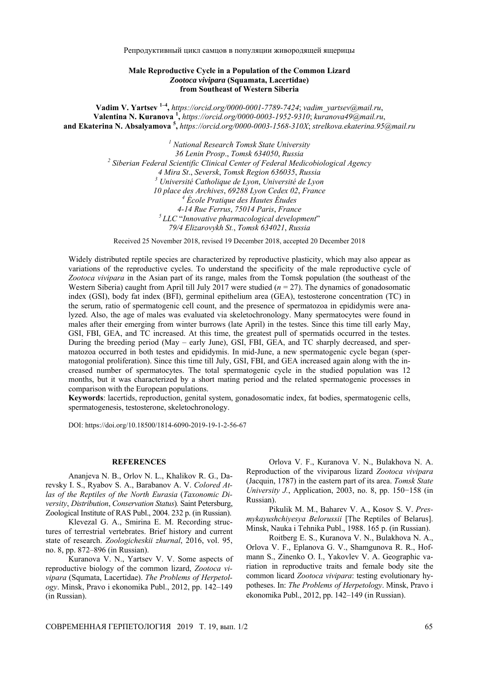Репродуктивный цикл самцов в популяции живородящей ящерицы

## **Male Reproductive Cycle in a Population of the Common Lizard**  *Zootoca vivipara* **(Squamata, Lacertidae) from Southeast of Western Siberia**

**Vadim V. Yartsev 1–4,** *https://orcid.org/0000-0001-7789-7424*; *vadim\_yartsev*@*mail.ru*, **Valentina N. Kuranova <sup>1</sup> ,** *https://orcid.org/0000-0003-1952-9310*; *kuranova49*@*mail.ru*, **and Ekaterina N. Absalyamova <sup>5</sup> ,** *https://orcid.org/0000-0003-1568-310X*; *strelkova.ekaterina.95*@*mail.ru*

> *1 National Research Tomsk State University 36 Lenin Prosp*., *Tomsk 634050*, *Russia 2 Siberian Federal Scientific Clinical Center of Federal Medicobiological Agency 4 Mira St*., *Seversk*, *Tomsk Region 636035*, *Russia 3 Université Catholique de Lyon*, *Université de Lyon 10 place des Archives*, *69288 Lyon Cedex 02*, *France 4 École Pratique des Hautes Études 4-14 Rue Ferrus*, *75014 Paris*, *France 5 LLC* "*Innovative pharmacological development*" *79/4 Elizarovykh St.*, *Tomsk 634021*, *Russia*

Received 25 November 2018, revised 19 December 2018, accepted 20 December 2018

Widely distributed reptile species are characterized by reproductive plasticity, which may also appear as variations of the reproductive cycles. To understand the specificity of the male reproductive cycle of *Zootoca vivipara* in the Asian part of its range, males from the Tomsk population (the southeast of the Western Siberia) caught from April till July 2017 were studied ( $n = 27$ ). The dynamics of gonadosomatic index (GSI), body fat index (BFI), germinal epithelium area (GEA), testosterone concentration (TC) in the serum, ratio of spermatogenic cell count, and the presence of spermatozoa in epididymis were analyzed. Also, the age of males was evaluated via skeletochronology. Many spermatocytes were found in males after their emerging from winter burrows (late April) in the testes. Since this time till early May, GSI, FBI, GEA, and TC increased. At this time, the greatest pull of spermatids occurred in the testes. During the breeding period (May – early June), GSI, FBI, GEA, and TC sharply decreased, and spermatozoa occurred in both testes and epididymis. In mid-June, a new spermatogenic cycle began (spermatogonial proliferation). Since this time till July, GSI, FBI, and GEA increased again along with the increased number of spermatocytes. The total spermatogenic cycle in the studied population was 12 months, but it was characterized by a short mating period and the related spermatogenic processes in comparison with the European populations.

**Keywords**: lacertids, reproduction, genital system, gonadosomatic index, fat bodies, spermatogenic cells, spermatogenesis, testosterone, skeletochronology.

DOI: https://doi.org/10.18500/1814-6090-2019-19-1-2-56-67

## **REFERENCES**

Ananjeva N. B., Orlov N. L., Khalikov R. G., Darevsky I. S., Ryabov S. A., Barabanov A. V. *Colored Atlas of the Reptiles of the North Eurasia* (*Taxonomic Diversity*, *Distribution*, *Conservation Status*)*.* Saint Petersburg, Zoological Institute of RAS Publ., 2004. 232 p. (in Russian).

Klevezal G. A., Smirina E. M. Recording structures of terrestrial vertebrates. Brief history and current state of research. *Zoologicheskii zhurnal*, 2016, vol. 95, no. 8, pp. 872–896 (in Russian).

Kuranova V. N., Yartsev V. V. Some aspects of reproductive biology of the common lizard, *Zootoca vivipara* (Squmata, Lacertidae). *The Problems of Herpetology*. Мinsk, Pravo i ekonomika Publ., 2012, pp. 142–149 (in Russian).

Orlova V. F., Kuranova V. N., Bulakhova N. A. Reproduction of the viviparous lizard *Zootoca vivipara*  (Jacquin, 1787) in the eastern part of its area. *Tomsk State University J.*, Application, 2003, no. 8, pp. 150−158 (in Russian).

Pikulik M. M., Baharev V. A., Kosov S. V. *Presmykayushchiyesya Belorussii* [The Reptiles of Belarus]. Minsk, Nauka i Tehnika Publ., 1988. 165 р. (in Russian).

Roitberg E. S., Kuranova V. N., Bulakhova N. A., Orlova V. F., Eplanova G. V., Shamgunova R. R., Hofmann S., Zinenko O. I., Yakovlev V. A. Geographic variation in reproductive traits and female body site the common licard *Zootoca vivipara*: testing evolutionary hypotheses. In: *The Problems of Herpetology*. Мinsk, Pravo i ekonomika Publ., 2012, pp. 142–149 (in Russian).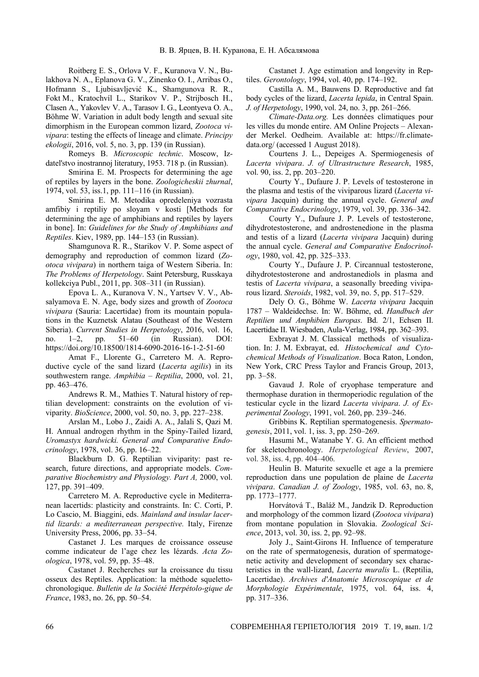Roitberg E. S., Orlova V. F., Kuranova V. N., Bulakhova N. A., Eplanova G. V., Zinenko O. I., Arribas O., Hofmann S., Ljubisavljević K., Shamgunova R. R., Fokt M., Kratochvíl L., Starikov V. P., Strijbosch H., Clasen A., Yakovlev V. A., Tarasov I. G., Leontyeva O. A., Böhme W. Variation in adult body length and sexual site dimorphism in the European common lizard, *Zootoca vivipara*: testing the effects of lineage and climate. *Principy ekologii*, 2016, vol. 5, no. 3, pp. 139 (in Russian).

Romeys B. *Microscopic technic*. Moscow, Izdatel'stvo inostrannoj literatury, 1953. 718 p. (in Russian).

Smirina E. M. Prospects for determining the age of reptiles by layers in the bone. *Zoologicheskii zhurnal*, 1974, vol. 53, iss.1, pp. 111–116 (in Russian).

Smirina E. M. Metodika opredeleniya vozrasta amfibiy i reptiliy po sloyam v kosti [Methods for determining the age of amphibians and reptiles by layers in bone]. In: *Guidelines for the Study of Amphibians and Reptiles*. Kiev, 1989, pp. 144–153 (in Russian).

Shamgunova R. R., Starikov V. P. Some aspect of demography and reproduction of common lizard (*Zootoca vivipara*) in northern taiga of Western Siberia. In: *The Problems of Herpetology*. Saint Petersburg, Russkaya kollekciya Publ., 2011, pp. 308–311 (in Russian).

Epova L. A., Kuranova V. N., Yartsev V. V., Absalyamova E. N. Age, body sizes and growth of *Zootoca vivipara* (Sauria: Lacertidae) from its mountain populations in the Kuznetsk Alatau (Southeast of the Western Siberia). *Current Studies in Herpetology*, 2016, vol. 16, no. 1–2, pp. 51–60 (in Russian). DOI: https://doi.org/10.18500/1814-6090-2016-16-1-2-51-60

Amat F., Llorente G., Carretero M. A. Reproductive cycle of the sand lizard (*Lacerta agilis*) in its southwestern range. *Amphibia – Reptilia*, 2000, vol. 21, pp. 463–476.

Andrews R. M., Mathies T. Natural history of reptilian development: constraints on the evolution of viviparity. *BioScience*, 2000, vol. 50, no. 3, pp. 227–238.

Arslan M., Lobo J., Zaidi A. A., Jalali S, Qazi M. H. Annual androgen rhythm in the Spiny-Tailed lizard, *Uromastyx hardwicki. General and Comparative Endocrinology*, 1978, vol. 36, pp. 16–22.

Blackburn D. G. Reptilian viviparity: past research, future directions, and appropriate models. *Comparative Biochemistry and Physiology. Part A,* 2000, vol. 127, pp. 391–409.

Carretero M. A. Reproductive cycle in Mediterranean lacertids: plasticity and constraints. In: C. Corti, P. Lo Cascio, M. Biaggini, eds. *Mainland and insular lacertid lizards: a mediterranean perspective.* Italy, Firenze University Press, 2006, pp. 33–54.

Castanet J. Les marques de croissance osseuse comme indicateur de l'age chez les lézards. *Acta Zoologica*, 1978, vol. 59, pp. 35–48.

Castanet J. Recherches sur la croissance du tissu osseux des Reptiles. Application: la méthode squelettochronologique. *Bulletin de la Société Herpétolo-gique de France*, 1983, no. 26, pp. 50–54.

Castanet J. Age estimation and longevity in Reptiles. *Gerontology*, 1994, vol. 40, pp. 174–192.

Castilla A. M., Bauwens D. Reproductive and fat body cycles of the lizard, *Lacerta lepida*, in Central Spain. *J. of Herpetology*, 1990, vol. 24, no. 3, pp. 261–266.

*Climate-Data.org.* Les données climatiques pour les villes du monde entire. AM Online Projects – Alexander Merkel. Oedheim. Available at: https://fr.climatedata.org/ (accessed 1 August 2018).

Courtens J. L., Depeiges A. Spermiogenesis of *Lacerta vivipara*. *J. of Ultrastructure Research*, 1985, vol. 90, iss. 2, pp. 203–220.

Courty Y., Dufaure J. P. Levels of testosterone in the plasma and testis of the viviparous lizard (*Lacerta vivipara* Jacquin) during the annual cycle. *General and Comparative Endocrinology*, 1979, vol. 39, pp. 336–342.

Courty Y., Dufaure J. P. Levels of testosterone, dihydrotestosterone, and androstenedione in the plasma and testis of a lizard (*Lacerta vivipara* Jacquin) during the annual cycle. *General and Comparative Endocrinology*, 1980, vol. 42, pp. 325–333.

Courty Y., Dufaure J. P. Circannual testosterone, dihydrotestosterone and androstanediols in plasma and testis of *Lacerta vivipara*, a seasonally breeding viviparous lizard. *Steroids*, 1982, vol. 39, no. 5, pp. 517–529.

Dely O. G., Bőhme W. *Lacerta vivipara* Jacquin 1787 – Waldeidechse. In: W. Bőhme, ed. *Handbuch der Reptilien und Amphibien Europas*. Bd. 2/1, Echsen II. Lacertidae II. Wiesbaden, Aula-Verlag, 1984, pp. 362–393.

Exbrayat J. M. Classical methods of visualization. In: J. M. Exbrayat, еd. *Histochemical and Cytochemical Methods of Visualization*. Boca Raton, London, New York, CRC Press Taylor and Francis Group, 2013, pp. 3–58.

Gavaud J. Role of cryophase temperature and thermophase duration in thermoperiodic regulation of the testicular cycle in the lizard *Lacerta vivipara*. *J. of Experimental Zoology*, 1991, vol. 260, pp. 239–246.

Gribbins K. Reptilian spermatogenesis. *Spermatogenesis*, 2011, vol. 1, iss. 3, pp. 250–269.

Hasumi M., Watanabe Y. G. An efficient method for skeletochronology. *Herpetological Review*, 2007, vol. 38, iss. 4, pp. 404–406*.* 

Heulin B. Maturite sexuelle et age a la premiere reproduction dans une population de plaine de *Lacerta vivipara*. *Canadian J. of Zoology*, 1985, vol. 63, no. 8, pp. 1773–1777.

Horvátová T., Baláž М., Jandzik D. Reproduction and morphology of the common lizard (*Zootoca vivipara*) from montane population in Slovakia. *Zoological Science*, 2013, vol. 30, iss. 2, pp. 92–98.

Joly J., Saint-Girons H. Influence of temperature on the rate of spermatogenesis, duration of spermatogenetic activity and development of secondary sex characteristics in the wall-lizard, *Lacerta muralis* L. (Reptilia, Lacertidae). *Archives d'Anatomie Microscopique et de Morphologie Expérimentale*, 1975, vol. 64, iss. 4, pp. 317–336.